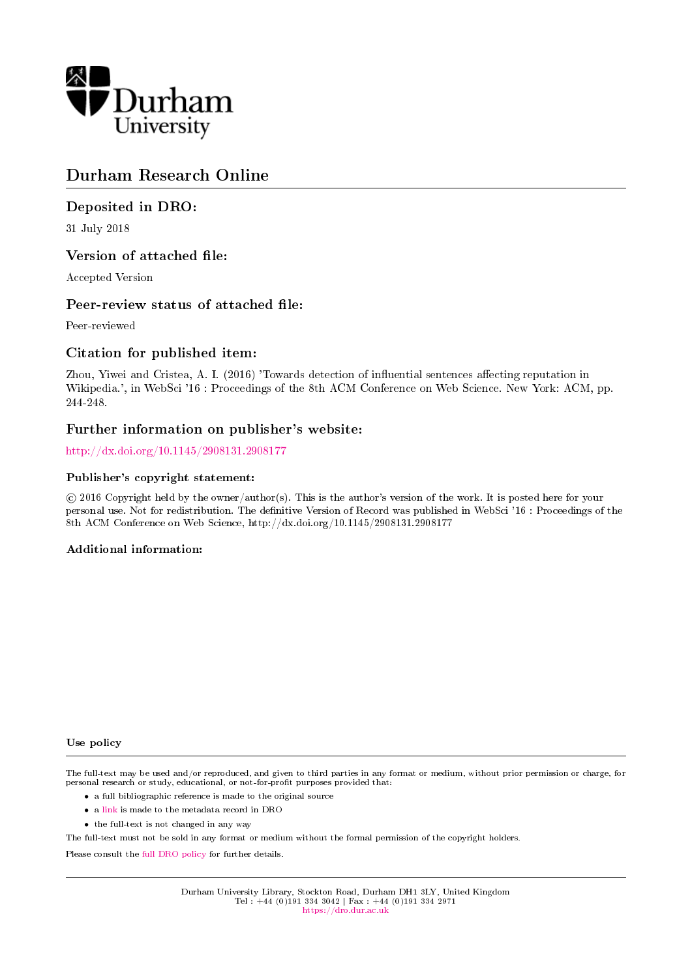

## Durham Research Online

## Deposited in DRO:

31 July 2018

## Version of attached file:

Accepted Version

## Peer-review status of attached file:

Peer-reviewed

## Citation for published item:

Zhou, Yiwei and Cristea, A. I. (2016) 'Towards detection of influential sentences affecting reputation in Wikipedia.', in WebSci '16 : Proceedings of the 8th ACM Conference on Web Science. New York: ACM, pp. 244-248.

## Further information on publisher's website:

<http://dx.doi.org/10.1145/2908131.2908177>

#### Publisher's copyright statement:

 c 2016 Copyright held by the owner/author(s). This is the author's version of the work. It is posted here for your personal use. Not for redistribution. The denitive Version of Record was published in WebSci '16 : Proceedings of the 8th ACM Conference on Web Science, http://dx.doi.org/10.1145/2908131.2908177

#### Additional information:

#### Use policy

The full-text may be used and/or reproduced, and given to third parties in any format or medium, without prior permission or charge, for personal research or study, educational, or not-for-profit purposes provided that:

- a full bibliographic reference is made to the original source
- a [link](http://dro.dur.ac.uk/25721/) is made to the metadata record in DRO
- the full-text is not changed in any way

The full-text must not be sold in any format or medium without the formal permission of the copyright holders.

Please consult the [full DRO policy](https://dro.dur.ac.uk/policies/usepolicy.pdf) for further details.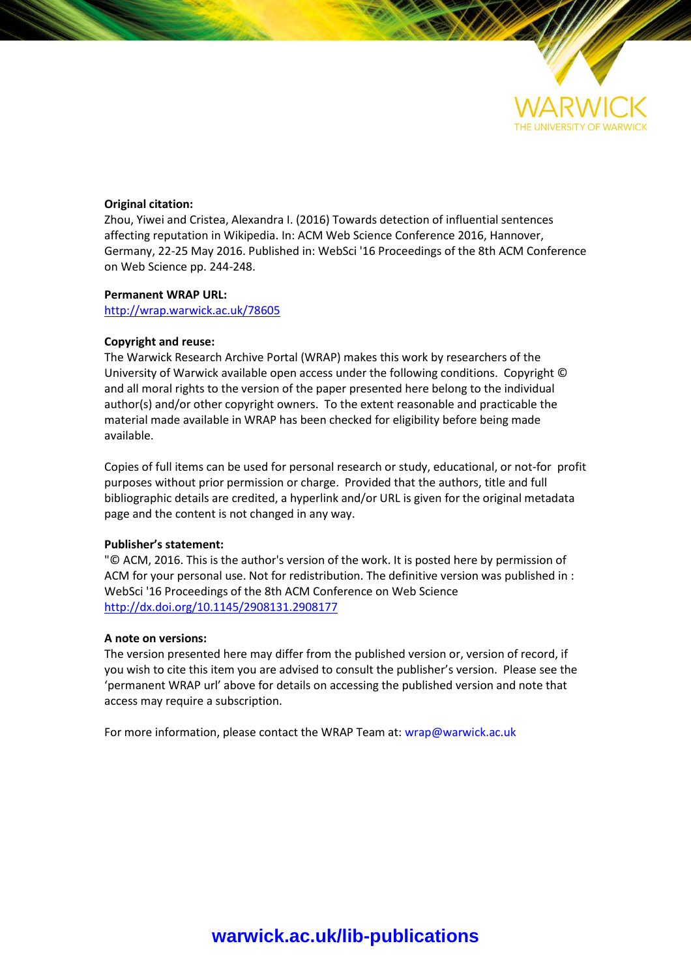

#### **Original citation:**

Zhou, Yiwei and Cristea, Alexandra I. (2016) Towards detection of influential sentences affecting reputation in Wikipedia. In: ACM Web Science Conference 2016, Hannover, Germany, 22-25 May 2016. Published in: WebSci '16 Proceedings of the 8th ACM Conference on Web Science pp. 244-248.

#### **Permanent WRAP URL:**

<http://wrap.warwick.ac.uk/78605>

#### **Copyright and reuse:**

The Warwick Research Archive Portal (WRAP) makes this work by researchers of the University of Warwick available open access under the following conditions. Copyright © and all moral rights to the version of the paper presented here belong to the individual author(s) and/or other copyright owners. To the extent reasonable and practicable the material made available in WRAP has been checked for eligibility before being made available.

Copies of full items can be used for personal research or study, educational, or not-for profit purposes without prior permission or charge. Provided that the authors, title and full bibliographic details are credited, a hyperlink and/or URL is given for the original metadata page and the content is not changed in any way.

## **Publisher's statement:**

"© ACM, 2016. This is the author's version of the work. It is posted here by permission of ACM for your personal use. Not for redistribution. The definitive version was published in : WebSci '16 Proceedings of the 8th ACM Conference on Web Science <http://dx.doi.org/10.1145/2908131.2908177>

#### **A note on versions:**

The version presented here may differ from the published version or, version of record, if you wish to cite this item you are advised to consult the publisher's version. Please see the 'permanent WRAP url' above for details on accessing the published version and note that access may require a subscription.

For more information, please contact the WRAP Team at[: wrap@warwick.ac.uk](mailto:wrap@warwick.ac.uk)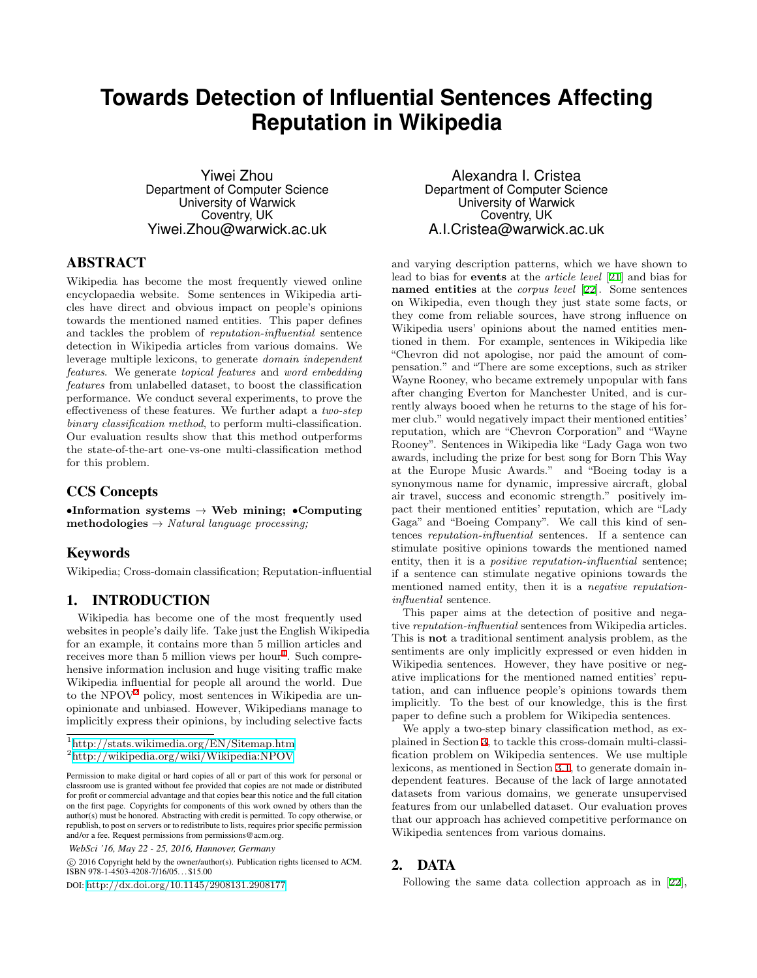# **Towards Detection of Influential Sentences Affecting Reputation in Wikipedia**

Yiwei Zhou Department of Computer Science University of Warwick Coventry, UK Yiwei.Zhou@warwick.ac.uk

#### ABSTRACT

Wikipedia has become the most frequently viewed online encyclopaedia website. Some sentences in Wikipedia articles have direct and obvious impact on people's opinions towards the mentioned named entities. This paper defines and tackles the problem of *reputation-influential* sentence detection in Wikipedia articles from various domains. We leverage multiple lexicons, to generate *domain independent features*. We generate *topical features* and *word embedding features* from unlabelled dataset, to boost the classification performance. We conduct several experiments, to prove the effectiveness of these features. We further adapt a *two-step binary classification method*, to perform multi-classification. Our evaluation results show that this method outperforms the state-of-the-art one-vs-one multi-classification method for this problem.

#### CCS Concepts

*•***Information systems** *→* **Web mining;** *•***Computing methodologies** *→ Natural language processing;*

#### Keywords

Wikipedia; Cross-domain classification; Reputation-influential

#### 1. INTRODUCTION

Wikipedia has become one of the most frequently used websites in people's daily life. Take just the English Wikipedia for an example, it contains more than 5 million articles and receives more than 5 million views per hour<sup>[1](#page-2-0)</sup>. Such comprehensive information inclusion and huge visiting traffic make Wikipedia influential for people all around the world. Due to the  $NPOV<sup>2</sup>$  $NPOV<sup>2</sup>$  $NPOV<sup>2</sup>$  policy, most sentences in Wikipedia are unopinionate and unbiased. However, Wikipedians manage to implicitly express their opinions, by including selective facts

*WebSci '16, May 22 - 25, 2016, Hannover, Germany*

*⃝*c 2016 Copyright held by the owner/author(s). Publication rights licensed to ACM. ISBN 978-1-4503-4208-7/16/05. . . \$15.00

DOI: <http://dx.doi.org/10.1145/2908131.2908177>

Alexandra I. Cristea Department of Computer Science University of Warwick Coventry, UK A.I.Cristea@warwick.ac.uk

and varying description patterns, which we have shown to lead to bias for **events** at the *article level* [[21](#page-6-0)] and bias for **named entities** at the *corpus level* [[22\]](#page-6-1). Some sentences on Wikipedia, even though they just state some facts, or they come from reliable sources, have strong influence on Wikipedia users' opinions about the named entities mentioned in them. For example, sentences in Wikipedia like "Chevron did not apologise, nor paid the amount of compensation." and "There are some exceptions, such as striker Wayne Rooney, who became extremely unpopular with fans after changing Everton for Manchester United, and is currently always booed when he returns to the stage of his former club." would negatively impact their mentioned entities' reputation, which are "Chevron Corporation" and "Wayne Rooney". Sentences in Wikipedia like "Lady Gaga won two awards, including the prize for best song for Born This Way at the Europe Music Awards." and "Boeing today is a synonymous name for dynamic, impressive aircraft, global air travel, success and economic strength." positively impact their mentioned entities' reputation, which are "Lady Gaga" and "Boeing Company". We call this kind of sentences *reputation-influential* sentences. If a sentence can stimulate positive opinions towards the mentioned named entity, then it is a *positive reputation-influential* sentence; if a sentence can stimulate negative opinions towards the mentioned named entity, then it is a *negative reputationinfluential* sentence.

This paper aims at the detection of positive and negative *reputation-influential* sentences from Wikipedia articles. This is **not** a traditional sentiment analysis problem, as the sentiments are only implicitly expressed or even hidden in Wikipedia sentences. However, they have positive or negative implications for the mentioned named entities' reputation, and can influence people's opinions towards them implicitly. To the best of our knowledge, this is the first paper to define such a problem for Wikipedia sentences.

We apply a two-step binary classification method, as explained in Section [3](#page-3-0), to tackle this cross-domain multi-classification problem on Wikipedia sentences. We use multiple lexicons, as mentioned in Section [3.1](#page-3-1), to generate domain independent features. Because of the lack of large annotated datasets from various domains, we generate unsupervised features from our unlabelled dataset. Our evaluation proves that our approach has achieved competitive performance on Wikipedia sentences from various domains.

#### 2. DATA

Following the same data collection approach as in [[22\]](#page-6-1),

<span id="page-2-0"></span><sup>1</sup><http://stats.wikimedia.org/EN/Sitemap.htm>

<span id="page-2-1"></span><sup>2</sup><http://wikipedia.org/wiki/Wikipedia:NPOV>

Permission to make digital or hard copies of all or part of this work for personal or classroom use is granted without fee provided that copies are not made or distributed for profit or commercial advantage and that copies bear this notice and the full citation on the first page. Copyrights for components of this work owned by others than the author(s) must be honored. Abstracting with credit is permitted. To copy otherwise, or republish, to post on servers or to redistribute to lists, requires prior specific permission and/or a fee. Request permissions from permissions@acm.org.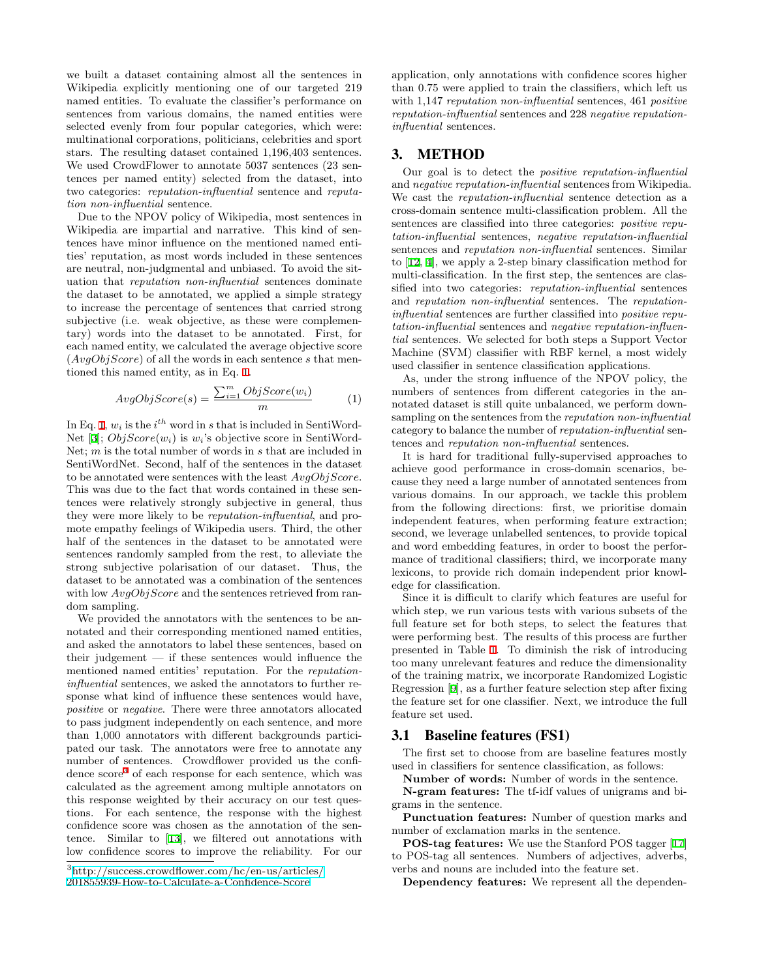we built a dataset containing almost all the sentences in Wikipedia explicitly mentioning one of our targeted 219 named entities. To evaluate the classifier's performance on sentences from various domains, the named entities were selected evenly from four popular categories, which were: multinational corporations, politicians, celebrities and sport stars. The resulting dataset contained 1,196,403 sentences. We used CrowdFlower to annotate 5037 sentences (23 sentences per named entity) selected from the dataset, into two categories: *reputation-influential* sentence and *reputation non-influential* sentence.

Due to the NPOV policy of Wikipedia, most sentences in Wikipedia are impartial and narrative. This kind of sentences have minor influence on the mentioned named entities' reputation, as most words included in these sentences are neutral, non-judgmental and unbiased. To avoid the situation that *reputation non-influential* sentences dominate the dataset to be annotated, we applied a simple strategy to increase the percentage of sentences that carried strong subjective (i.e. weak objective, as these were complementary) words into the dataset to be annotated. First, for each named entity, we calculated the average objective score (*AvgObjScore*) of all the words in each sentence *s* that mentioned this named entity, as in Eq. [1](#page-3-2).

<span id="page-3-2"></span>
$$
AvgObjScore(s) = \frac{\sum_{i=1}^{m}ObjScore(w_i)}{m} \tag{1}
$$

In Eq. [1,](#page-3-2)  $w_i$  is the  $i^{th}$  word in *s* that is included in SentiWord-Net [\[3\]](#page-6-2);  $ObjScore(w_i)$  is  $w_i$ 's objective score in SentiWord-Net; *m* is the total number of words in *s* that are included in SentiWordNet. Second, half of the sentences in the dataset to be annotated were sentences with the least *AvgObjScore*. This was due to the fact that words contained in these sentences were relatively strongly subjective in general, thus they were more likely to be *reputation-influential*, and promote empathy feelings of Wikipedia users. Third, the other half of the sentences in the dataset to be annotated were sentences randomly sampled from the rest, to alleviate the strong subjective polarisation of our dataset. Thus, the dataset to be annotated was a combination of the sentences with low  $AvgObiScore$  and the sentences retrieved from random sampling.

We provided the annotators with the sentences to be annotated and their corresponding mentioned named entities, and asked the annotators to label these sentences, based on their judgement — if these sentences would influence the mentioned named entities' reputation. For the *reputationinfluential* sentences, we asked the annotators to further response what kind of influence these sentences would have, *positive* or *negative*. There were three annotators allocated to pass judgment independently on each sentence, and more than 1,000 annotators with different backgrounds participated our task. The annotators were free to annotate any number of sentences. Crowdflower provided us the confi-dence score<sup>[3](#page-3-3)</sup> of each response for each sentence, which was calculated as the agreement among multiple annotators on this response weighted by their accuracy on our test questions. For each sentence, the response with the highest confidence score was chosen as the annotation of the sentence. Similar to [\[13\]](#page-6-3), we filtered out annotations with low confidence scores to improve the reliability. For our application, only annotations with confidence scores higher than 0.75 were applied to train the classifiers, which left us with 1,147 *reputation non-influential* sentences, 461 *positive reputation-influential* sentences and 228 *negative reputationinfluential* sentences.

#### <span id="page-3-0"></span>3. METHOD

Our goal is to detect the *positive reputation-influential* and *negative reputation-influential* sentences from Wikipedia. We cast the *reputation-influential* sentence detection as a cross-domain sentence multi-classification problem. All the sentences are classified into three categories: *positive reputation-influential* sentences, *negative reputation-influential* sentences and *reputation non-influential* sentences. Similar to [\[12](#page-6-4), [4](#page-6-5)], we apply a 2-step binary classification method for multi-classification. In the first step, the sentences are classified into two categories: *reputation-influential* sentences and *reputation non-influential* sentences. The *reputationinfluential* sentences are further classified into *positive reputation-influential* sentences and *negative reputation-influential* sentences. We selected for both steps a Support Vector Machine (SVM) classifier with RBF kernel, a most widely used classifier in sentence classification applications.

As, under the strong influence of the NPOV policy, the numbers of sentences from different categories in the annotated dataset is still quite unbalanced, we perform downsampling on the sentences from the *reputation non-influential* category to balance the number of *reputation-influential* sentences and *reputation non-influential* sentences.

It is hard for traditional fully-supervised approaches to achieve good performance in cross-domain scenarios, because they need a large number of annotated sentences from various domains. In our approach, we tackle this problem from the following directions: first, we prioritise domain independent features, when performing feature extraction; second, we leverage unlabelled sentences, to provide topical and word embedding features, in order to boost the performance of traditional classifiers; third, we incorporate many lexicons, to provide rich domain independent prior knowledge for classification.

Since it is difficult to clarify which features are useful for which step, we run various tests with various subsets of the full feature set for both steps, to select the features that were performing best. The results of this process are further presented in Table [1](#page-5-0). To diminish the risk of introducing too many unrelevant features and reduce the dimensionality of the training matrix, we incorporate Randomized Logistic Regression [[9](#page-6-6)], as a further feature selection step after fixing the feature set for one classifier. Next, we introduce the full feature set used.

#### <span id="page-3-1"></span>3.1 Baseline features (FS1)

The first set to choose from are baseline features mostly used in classifiers for sentence classification, as follows:

**Number of words:** Number of words in the sentence.

**N-gram features:** The tf-idf values of unigrams and bigrams in the sentence.

**Punctuation features:** Number of question marks and number of exclamation marks in the sentence.

**POS-tag features:** We use the Stanford POS tagger [\[17](#page-6-7)] to POS-tag all sentences. Numbers of adjectives, adverbs, verbs and nouns are included into the feature set.

**Dependency features:** We represent all the dependen-

<span id="page-3-3"></span><sup>3</sup>[http://success.crowdflower.com/hc/en-us/articles/](http://success.crowdflower.com/hc/en-us/articles/201855939-How-to-Calculate-a-Confidence-Score) [201855939-How-to-Calculate-a-Confidence-Score](http://success.crowdflower.com/hc/en-us/articles/201855939-How-to-Calculate-a-Confidence-Score)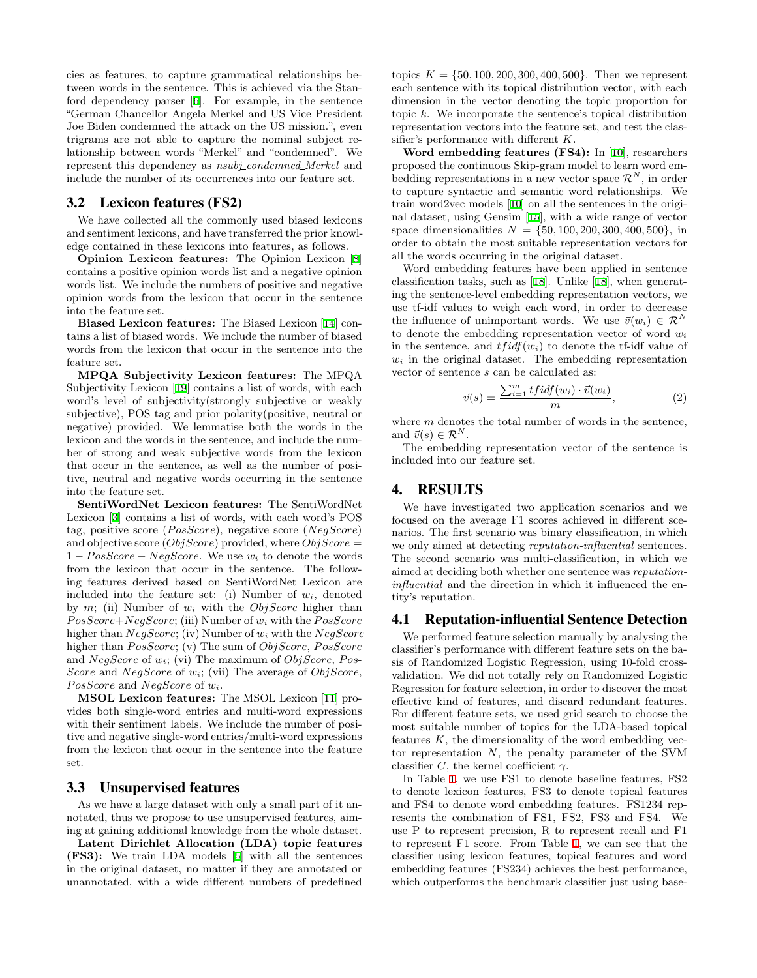cies as features, to capture grammatical relationships between words in the sentence. This is achieved via the Stanford dependency parser [\[6](#page-6-8)]. For example, in the sentence "German Chancellor Angela Merkel and US Vice President Joe Biden condemned the attack on the US mission.", even trigrams are not able to capture the nominal subject relationship between words "Merkel" and "condemned". We represent this dependency as *nsubj condemned Merkel* and include the number of its occurrences into our feature set.

#### 3.2 Lexicon features (FS2)

We have collected all the commonly used biased lexicons and sentiment lexicons, and have transferred the prior knowledge contained in these lexicons into features, as follows.

**Opinion Lexicon features:** The Opinion Lexicon [[8](#page-6-9)] contains a positive opinion words list and a negative opinion words list. We include the numbers of positive and negative opinion words from the lexicon that occur in the sentence into the feature set.

**Biased Lexicon features:** The Biased Lexicon [[14\]](#page-6-10) contains a list of biased words. We include the number of biased words from the lexicon that occur in the sentence into the feature set.

**MPQA Subjectivity Lexicon features:** The MPQA Subjectivity Lexicon [[19](#page-6-11)] contains a list of words, with each word's level of subjectivity(strongly subjective or weakly subjective), POS tag and prior polarity(positive, neutral or negative) provided. We lemmatise both the words in the lexicon and the words in the sentence, and include the number of strong and weak subjective words from the lexicon that occur in the sentence, as well as the number of positive, neutral and negative words occurring in the sentence into the feature set.

**SentiWordNet Lexicon features:** The SentiWordNet Lexicon [[3\]](#page-6-2) contains a list of words, with each word's POS tag, positive score (*P osScore*), negative score (*NegScore*) and objective score (*ObjScore*) provided, where *ObjScore* = 1 *− P osScore − NegScore*. We use *w<sup>i</sup>* to denote the words from the lexicon that occur in the sentence. The following features derived based on SentiWordNet Lexicon are included into the feature set: (i) Number of *wi*, denoted by *m*; (ii) Number of *w<sup>i</sup>* with the *ObjScore* higher than *P osScore*+*NegScore*; (iii) Number of *w<sup>i</sup>* with the *P osScore* higher than *NegScore*; (iv) Number of *w<sup>i</sup>* with the *NegScore* higher than *PosScore*; (v) The sum of *ObjScore*, *PosScore* and *NegScore* of  $w_i$ ; (vi) The maximum of *ObjScore*, *Pos-Score* and *NegScore* of *wi*; (vii) The average of *ObjScore*, *P osScore* and *NegScore* of *wi*.

**MSOL Lexicon features:** The MSOL Lexicon [\[11](#page-6-12)] provides both single-word entries and multi-word expressions with their sentiment labels. We include the number of positive and negative single-word entries/multi-word expressions from the lexicon that occur in the sentence into the feature set.

#### 3.3 Unsupervised features

As we have a large dataset with only a small part of it annotated, thus we propose to use unsupervised features, aiming at gaining additional knowledge from the whole dataset.

**Latent Dirichlet Allocation (LDA) topic features (FS3):** We train LDA models [\[5\]](#page-6-13) with all the sentences in the original dataset, no matter if they are annotated or unannotated, with a wide different numbers of predefined topics  $K = \{50, 100, 200, 300, 400, 500\}$ . Then we represent each sentence with its topical distribution vector, with each dimension in the vector denoting the topic proportion for topic *k*. We incorporate the sentence's topical distribution representation vectors into the feature set, and test the classifier's performance with different *K*.

**Word embedding features (FS4):** In [[10](#page-6-14)], researchers proposed the continuous Skip-gram model to learn word embedding representations in a new vector space  $\mathcal{R}^N$ , in order to capture syntactic and semantic word relationships. We train word2vec models [[10\]](#page-6-14) on all the sentences in the original dataset, using Gensim [\[15\]](#page-6-15), with a wide range of vector space dimensionalities  $N = \{50, 100, 200, 300, 400, 500\}$ , in order to obtain the most suitable representation vectors for all the words occurring in the original dataset.

Word embedding features have been applied in sentence classification tasks, such as [\[18\]](#page-6-16). Unlike [[18\]](#page-6-16), when generating the sentence-level embedding representation vectors, we use tf-idf values to weigh each word, in order to decrease the influence of unimportant words. We use  $\vec{v}(w_i) \in \mathcal{R}^N$ to denote the embedding representation vector of word *w<sup>i</sup>* in the sentence, and  $tfidf(w_i)$  to denote the tf-idf value of  $w_i$  in the original dataset. The embedding representation vector of sentence *s* can be calculated as:

$$
\vec{v}(s) = \frac{\sum_{i=1}^{m} t f i df(w_i) \cdot \vec{v}(w_i)}{m}, \qquad (2)
$$

where *m* denotes the total number of words in the sentence, and  $\vec{v}(s) \in \mathcal{R}^N$ .

The embedding representation vector of the sentence is included into our feature set.

#### 4. RESULTS

We have investigated two application scenarios and we focused on the average F1 scores achieved in different scenarios. The first scenario was binary classification, in which we only aimed at detecting *reputation-influential* sentences. The second scenario was multi-classification, in which we aimed at deciding both whether one sentence was *reputationinfluential* and the direction in which it influenced the entity's reputation.

#### <span id="page-4-0"></span>4.1 Reputation-influential Sentence Detection

We performed feature selection manually by analysing the classifier's performance with different feature sets on the basis of Randomized Logistic Regression, using 10-fold crossvalidation. We did not totally rely on Randomized Logistic Regression for feature selection, in order to discover the most effective kind of features, and discard redundant features. For different feature sets, we used grid search to choose the most suitable number of topics for the LDA-based topical features *K*, the dimensionality of the word embedding vector representation *N*, the penalty parameter of the SVM classifier *C*, the kernel coefficient *γ*.

In Table [1](#page-5-0), we use FS1 to denote baseline features, FS2 to denote lexicon features, FS3 to denote topical features and FS4 to denote word embedding features. FS1234 represents the combination of FS1, FS2, FS3 and FS4. We use P to represent precision, R to represent recall and F1 to represent F1 score. From Table [1](#page-5-0), we can see that the classifier using lexicon features, topical features and word embedding features (FS234) achieves the best performance, which outperforms the benchmark classifier just using base-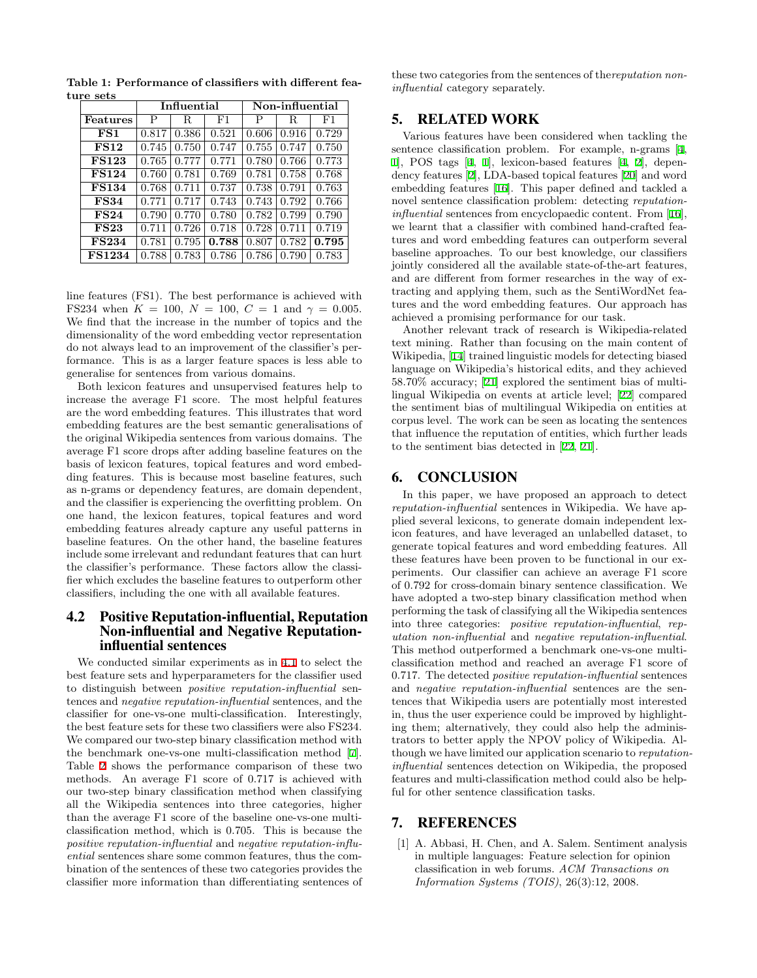<span id="page-5-0"></span>

|               |       | <b>Influential</b> |             | Non-influential |       |       |  |
|---------------|-------|--------------------|-------------|-----------------|-------|-------|--|
| Features      | P     | R.                 | $_{\rm F1}$ | Р               | R     | F1    |  |
| FS1           | 0.817 | 0.386              | 0.521       | 0.606           | 0.916 | 0.729 |  |
| <b>FS12</b>   | 0.745 | 0.750              | 0.747       | 0.755           | 0.747 | 0.750 |  |
| <b>FS123</b>  | 0.765 | 0.777              | 0.771       | 0.780           | 0.766 | 0.773 |  |
| <b>FS124</b>  | 0.760 | 0.781              | 0.769       | 0.781           | 0.758 | 0.768 |  |
| <b>FS134</b>  | 0.768 | 0.711              | 0.737       | 0.738           | 0.791 | 0.763 |  |
| <b>FS34</b>   | 0.771 | 0.717              | 0.743       | 0.743           | 0.792 | 0.766 |  |
| <b>FS24</b>   | 0.790 | 0.770              | 0.780       | 0.782           | 0.799 | 0.790 |  |
| FS23          | 0.711 | 0.726              | 0.718       | 0.728           | 0.711 | 0.719 |  |
| <b>FS234</b>  | 0.781 | 0.795              | 0.788       | 0.807           | 0.782 | 0.795 |  |
| <b>FS1234</b> | 0.788 | 0.783              | 0.786       | 0.786           | 0.790 | 0.783 |  |

**Table 1: Performance of classifiers with different feature sets**

line features (FS1). The best performance is achieved with FS234 when  $K = 100$ ,  $N = 100$ ,  $C = 1$  and  $\gamma = 0.005$ . We find that the increase in the number of topics and the dimensionality of the word embedding vector representation do not always lead to an improvement of the classifier's performance. This is as a larger feature spaces is less able to generalise for sentences from various domains.

Both lexicon features and unsupervised features help to increase the average F1 score. The most helpful features are the word embedding features. This illustrates that word embedding features are the best semantic generalisations of the original Wikipedia sentences from various domains. The average F1 score drops after adding baseline features on the basis of lexicon features, topical features and word embedding features. This is because most baseline features, such as n-grams or dependency features, are domain dependent, and the classifier is experiencing the overfitting problem. On one hand, the lexicon features, topical features and word embedding features already capture any useful patterns in baseline features. On the other hand, the baseline features include some irrelevant and redundant features that can hurt the classifier's performance. These factors allow the classifier which excludes the baseline features to outperform other classifiers, including the one with all available features.

#### 4.2 Positive Reputation-influential, Reputation Non-influential and Negative Reputationinfluential sentences

We conducted similar experiments as in [4.1](#page-4-0) to select the best feature sets and hyperparameters for the classifier used to distinguish between *positive reputation-influential* sentences and *negative reputation-influential* sentences, and the classifier for one-vs-one multi-classification. Interestingly, the best feature sets for these two classifiers were also FS234. We compared our two-step binary classification method with the benchmark one-vs-one multi-classification method [[7\]](#page-6-17). Table [2](#page-6-18) shows the performance comparison of these two methods. An average F1 score of 0.717 is achieved with our two-step binary classification method when classifying all the Wikipedia sentences into three categories, higher than the average F1 score of the baseline one-vs-one multiclassification method, which is 0.705. This is because the *positive reputation-influential* and *negative reputation-influential* sentences share some common features, thus the combination of the sentences of these two categories provides the classifier more information than differentiating sentences of these two categories from the sentences of the*reputation noninfluential* category separately.

#### 5. RELATED WORK

Various features have been considered when tackling the sentence classification problem. For example, n-grams [[4](#page-6-5), [1](#page-5-1)], POS tags [\[4,](#page-6-5) [1](#page-5-1)], lexicon-based features [\[4,](#page-6-5) [2\]](#page-6-19), dependency features [[2\]](#page-6-19), LDA-based topical features [[20\]](#page-6-20) and word embedding features [\[16\]](#page-6-21). This paper defined and tackled a novel sentence classification problem: detecting *reputationinfluential* sentences from encyclopaedic content. From [[16\]](#page-6-21), we learnt that a classifier with combined hand-crafted features and word embedding features can outperform several baseline approaches. To our best knowledge, our classifiers jointly considered all the available state-of-the-art features, and are different from former researches in the way of extracting and applying them, such as the SentiWordNet features and the word embedding features. Our approach has achieved a promising performance for our task.

Another relevant track of research is Wikipedia-related text mining. Rather than focusing on the main content of Wikipedia, [\[14\]](#page-6-10) trained linguistic models for detecting biased language on Wikipedia's historical edits, and they achieved 58.70% accuracy; [[21](#page-6-0)] explored the sentiment bias of multilingual Wikipedia on events at article level; [[22\]](#page-6-1) compared the sentiment bias of multilingual Wikipedia on entities at corpus level. The work can be seen as locating the sentences that influence the reputation of entities, which further leads to the sentiment bias detected in [[22](#page-6-1), [21](#page-6-0)].

#### 6. CONCLUSION

In this paper, we have proposed an approach to detect *reputation-influential* sentences in Wikipedia. We have applied several lexicons, to generate domain independent lexicon features, and have leveraged an unlabelled dataset, to generate topical features and word embedding features. All these features have been proven to be functional in our experiments. Our classifier can achieve an average F1 score of 0.792 for cross-domain binary sentence classification. We have adopted a two-step binary classification method when performing the task of classifying all the Wikipedia sentences into three categories: *positive reputation-influential*, *reputation non-influential* and *negative reputation-influential*. This method outperformed a benchmark one-vs-one multiclassification method and reached an average F1 score of 0.717. The detected *positive reputation-influential* sentences and *negative reputation-influential* sentences are the sentences that Wikipedia users are potentially most interested in, thus the user experience could be improved by highlighting them; alternatively, they could also help the administrators to better apply the NPOV policy of Wikipedia. Although we have limited our application scenario to *reputationinfluential* sentences detection on Wikipedia, the proposed features and multi-classification method could also be helpful for other sentence classification tasks.

### 7. REFERENCES

<span id="page-5-1"></span>[1] A. Abbasi, H. Chen, and A. Salem. Sentiment analysis in multiple languages: Feature selection for opinion classification in web forums. *ACM Transactions on Information Systems (TOIS)*, 26(3):12, 2008.